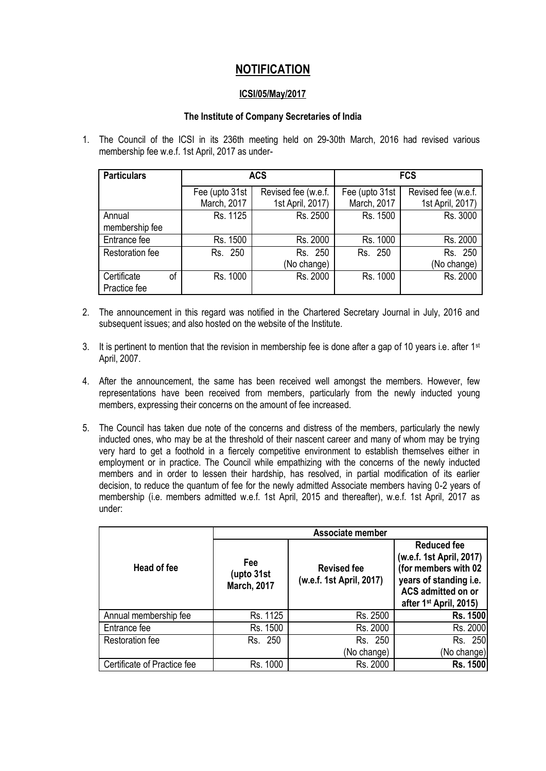## **NOTIFICATION**

## **ICSI/05/May/2017**

## **The Institute of Company Secretaries of India**

1. The Council of the ICSI in its 236th meeting held on 29-30th March, 2016 had revised various membership fee w.e.f. 1st April, 2017 as under-

| <b>Particulars</b>                | <b>ACS</b>                    |                                         | <b>FCS</b>                    |                                         |
|-----------------------------------|-------------------------------|-----------------------------------------|-------------------------------|-----------------------------------------|
|                                   | Fee (upto 31st<br>March, 2017 | Revised fee (w.e.f.<br>1st April, 2017) | Fee (upto 31st<br>March, 2017 | Revised fee (w.e.f.<br>1st April, 2017) |
| Annual<br>membership fee          | Rs. 1125                      | Rs. 2500                                | Rs. 1500                      | Rs. 3000                                |
| Entrance fee                      | Rs. 1500                      | Rs. 2000                                | Rs. 1000                      | Rs. 2000                                |
| <b>Restoration fee</b>            | Rs. 250                       | Rs. 250<br>(No change)                  | Rs. 250                       | Rs. 250<br>(No change)                  |
| Certificate<br>οf<br>Practice fee | Rs. 1000                      | Rs. 2000                                | Rs. 1000                      | Rs. 2000                                |

- 2. The announcement in this regard was notified in the Chartered Secretary Journal in July, 2016 and subsequent issues; and also hosted on the website of the Institute.
- 3. It is pertinent to mention that the revision in membership fee is done after a gap of 10 years i.e. after 1<sup>st</sup> April, 2007.
- 4. After the announcement, the same has been received well amongst the members. However, few representations have been received from members, particularly from the newly inducted young members, expressing their concerns on the amount of fee increased.
- 5. The Council has taken due note of the concerns and distress of the members, particularly the newly inducted ones, who may be at the threshold of their nascent career and many of whom may be trying very hard to get a foothold in a fiercely competitive environment to establish themselves either in employment or in practice. The Council while empathizing with the concerns of the newly inducted members and in order to lessen their hardship, has resolved, in partial modification of its earlier decision, to reduce the quantum of fee for the newly admitted Associate members having 0-2 years of membership (i.e. members admitted w.e.f. 1st April, 2015 and thereafter), w.e.f. 1st April, 2017 as under:

|                             | Associate member                                |                                                |                                                                                                                                                              |  |
|-----------------------------|-------------------------------------------------|------------------------------------------------|--------------------------------------------------------------------------------------------------------------------------------------------------------------|--|
| Head of fee                 | <b>Fee</b><br>(upto 31st)<br><b>March, 2017</b> | <b>Revised fee</b><br>(w.e.f. 1st April, 2017) | <b>Reduced fee</b><br>(w.e.f. 1st April, 2017)<br>(for members with 02<br>years of standing i.e.<br>ACS admitted on or<br>after 1 <sup>st</sup> April, 2015) |  |
| Annual membership fee       | Rs. 1125                                        | Rs. 2500                                       | <b>Rs. 1500</b>                                                                                                                                              |  |
| Entrance fee                | Rs. 1500                                        | Rs. 2000                                       | Rs. 2000                                                                                                                                                     |  |
| <b>Restoration fee</b>      | Rs. 250                                         | Rs. 250                                        | Rs. 250                                                                                                                                                      |  |
|                             |                                                 | (No change)                                    | (No change)                                                                                                                                                  |  |
| Certificate of Practice fee | Rs. 1000                                        | Rs. 2000                                       | <b>Rs. 1500</b>                                                                                                                                              |  |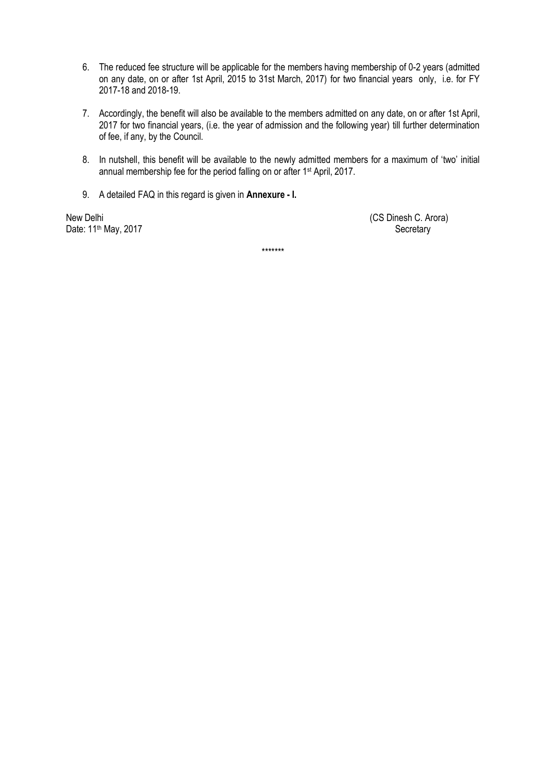- 6. The reduced fee structure will be applicable for the members having membership of 0-2 years (admitted on any date, on or after 1st April, 2015 to 31st March, 2017) for two financial years only, i.e. for FY 2017-18 and 2018-19.
- 7. Accordingly, the benefit will also be available to the members admitted on any date, on or after 1st April, 2017 for two financial years, (i.e. the year of admission and the following year) till further determination of fee, if any, by the Council.
- 8. In nutshell, this benefit will be available to the newly admitted members for a maximum of 'two' initial annual membership fee for the period falling on or after 1<sup>st</sup> April, 2017.
- 9. A detailed FAQ in this regard is given in **Annexure - I.**

Date: 11<sup>th</sup> May, 2017 Secretary

New Delhi (CS Dinesh C. Arora)

\*\*\*\*\*\*\*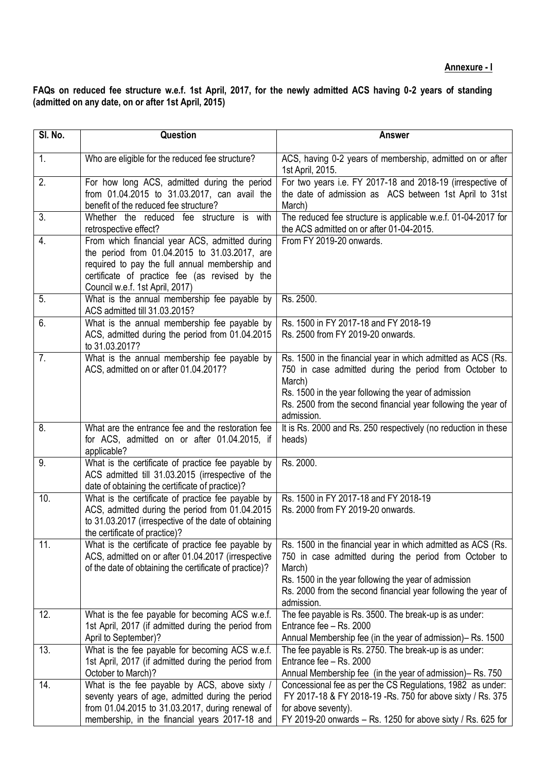**FAQs on reduced fee structure w.e.f. 1st April, 2017, for the newly admitted ACS having 0-2 years of standing (admitted on any date, on or after 1st April, 2015)**

| SI. No. | Question                                                                                                                                                                                                                               | <b>Answer</b>                                                                                                                                                                                                                                                           |
|---------|----------------------------------------------------------------------------------------------------------------------------------------------------------------------------------------------------------------------------------------|-------------------------------------------------------------------------------------------------------------------------------------------------------------------------------------------------------------------------------------------------------------------------|
| 1.      | Who are eligible for the reduced fee structure?                                                                                                                                                                                        | ACS, having 0-2 years of membership, admitted on or after<br>1st April, 2015.                                                                                                                                                                                           |
| 2.      | For how long ACS, admitted during the period<br>from 01.04.2015 to 31.03.2017, can avail the<br>benefit of the reduced fee structure?                                                                                                  | For two years i.e. FY 2017-18 and 2018-19 (irrespective of<br>the date of admission as ACS between 1st April to 31st<br>March)                                                                                                                                          |
| 3.      | Whether the reduced fee structure is with<br>retrospective effect?                                                                                                                                                                     | The reduced fee structure is applicable w.e.f. 01-04-2017 for<br>the ACS admitted on or after 01-04-2015.                                                                                                                                                               |
| 4.      | From which financial year ACS, admitted during<br>the period from 01.04.2015 to 31.03.2017, are<br>required to pay the full annual membership and<br>certificate of practice fee (as revised by the<br>Council w.e.f. 1st April, 2017) | From FY 2019-20 onwards.                                                                                                                                                                                                                                                |
| 5.      | What is the annual membership fee payable by<br>ACS admitted till 31.03.2015?                                                                                                                                                          | Rs. 2500.                                                                                                                                                                                                                                                               |
| 6.      | What is the annual membership fee payable by<br>ACS, admitted during the period from 01.04.2015<br>to 31.03.2017?                                                                                                                      | Rs. 1500 in FY 2017-18 and FY 2018-19<br>Rs. 2500 from FY 2019-20 onwards.                                                                                                                                                                                              |
| 7.      | What is the annual membership fee payable by<br>ACS, admitted on or after 01.04.2017?                                                                                                                                                  | Rs. 1500 in the financial year in which admitted as ACS (Rs.<br>750 in case admitted during the period from October to<br>March)<br>Rs. 1500 in the year following the year of admission<br>Rs. 2500 from the second financial year following the year of<br>admission. |
| 8.      | What are the entrance fee and the restoration fee<br>for ACS, admitted on or after 01.04.2015, if<br>applicable?                                                                                                                       | It is Rs. 2000 and Rs. 250 respectively (no reduction in these<br>heads)                                                                                                                                                                                                |
| 9.      | What is the certificate of practice fee payable by<br>ACS admitted till 31.03.2015 (irrespective of the<br>date of obtaining the certificate of practice)?                                                                             | Rs. 2000.                                                                                                                                                                                                                                                               |
| 10.     | What is the certificate of practice fee payable by<br>ACS, admitted during the period from 01.04.2015<br>to 31.03.2017 (irrespective of the date of obtaining<br>the certificate of practice)?                                         | Rs. 1500 in FY 2017-18 and FY 2018-19<br>Rs. 2000 from FY 2019-20 onwards.                                                                                                                                                                                              |
| 11.     | What is the certificate of practice fee payable by<br>ACS, admitted on or after 01.04.2017 (irrespective<br>of the date of obtaining the certificate of practice)?                                                                     | Rs. 1500 in the financial year in which admitted as ACS (Rs.<br>750 in case admitted during the period from October to<br>March)<br>Rs. 1500 in the year following the year of admission<br>Rs. 2000 from the second financial year following the year of<br>admission. |
| 12.     | What is the fee payable for becoming ACS w.e.f.<br>1st April, 2017 (if admitted during the period from<br>April to September)?                                                                                                         | The fee payable is Rs. 3500. The break-up is as under:<br>Entrance fee - Rs. 2000<br>Annual Membership fee (in the year of admission)– Rs. 1500                                                                                                                         |
| 13.     | What is the fee payable for becoming ACS w.e.f.<br>1st April, 2017 (if admitted during the period from<br>October to March)?                                                                                                           | The fee payable is Rs. 2750. The break-up is as under:<br>Entrance fee - Rs. 2000<br>Annual Membership fee (in the year of admission)– Rs. 750                                                                                                                          |
| 14.     | What is the fee payable by ACS, above sixty /<br>seventy years of age, admitted during the period<br>from 01.04.2015 to 31.03.2017, during renewal of<br>membership, in the financial years 2017-18 and                                | Concessional fee as per the CS Regulations, 1982 as under:<br>FY 2017-18 & FY 2018-19 - Rs. 750 for above sixty / Rs. 375<br>for above seventy).<br>FY 2019-20 onwards $-$ Rs. 1250 for above sixty / Rs. 625 for                                                       |